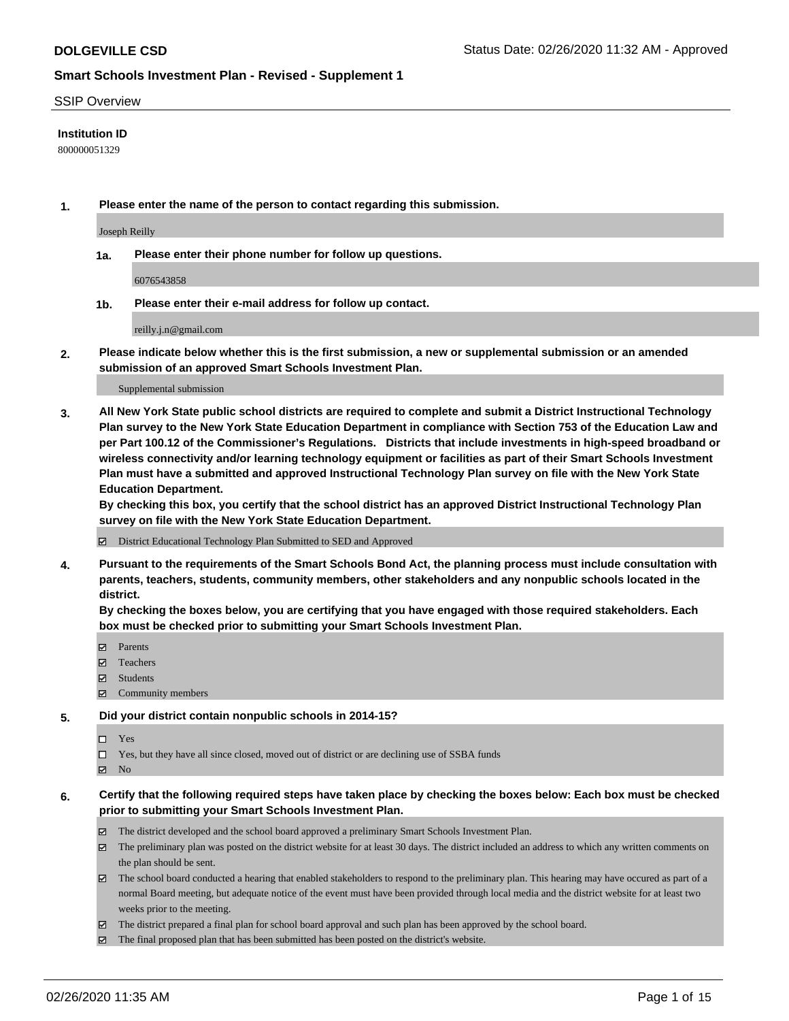#### SSIP Overview

### **Institution ID**

800000051329

**1. Please enter the name of the person to contact regarding this submission.**

Joseph Reilly

**1a. Please enter their phone number for follow up questions.**

6076543858

**1b. Please enter their e-mail address for follow up contact.**

reilly.j.n@gmail.com

**2. Please indicate below whether this is the first submission, a new or supplemental submission or an amended submission of an approved Smart Schools Investment Plan.**

#### Supplemental submission

**3. All New York State public school districts are required to complete and submit a District Instructional Technology Plan survey to the New York State Education Department in compliance with Section 753 of the Education Law and per Part 100.12 of the Commissioner's Regulations. Districts that include investments in high-speed broadband or wireless connectivity and/or learning technology equipment or facilities as part of their Smart Schools Investment Plan must have a submitted and approved Instructional Technology Plan survey on file with the New York State Education Department.** 

**By checking this box, you certify that the school district has an approved District Instructional Technology Plan survey on file with the New York State Education Department.**

District Educational Technology Plan Submitted to SED and Approved

**4. Pursuant to the requirements of the Smart Schools Bond Act, the planning process must include consultation with parents, teachers, students, community members, other stakeholders and any nonpublic schools located in the district.** 

**By checking the boxes below, you are certifying that you have engaged with those required stakeholders. Each box must be checked prior to submitting your Smart Schools Investment Plan.**

- **マ** Parents
- Teachers
- Students
- Community members

#### **5. Did your district contain nonpublic schools in 2014-15?**

 $\neg$  Yes

Yes, but they have all since closed, moved out of district or are declining use of SSBA funds

**Z** No

### **6. Certify that the following required steps have taken place by checking the boxes below: Each box must be checked prior to submitting your Smart Schools Investment Plan.**

- The district developed and the school board approved a preliminary Smart Schools Investment Plan.
- $\boxtimes$  The preliminary plan was posted on the district website for at least 30 days. The district included an address to which any written comments on the plan should be sent.
- $\boxtimes$  The school board conducted a hearing that enabled stakeholders to respond to the preliminary plan. This hearing may have occured as part of a normal Board meeting, but adequate notice of the event must have been provided through local media and the district website for at least two weeks prior to the meeting.
- The district prepared a final plan for school board approval and such plan has been approved by the school board.
- The final proposed plan that has been submitted has been posted on the district's website.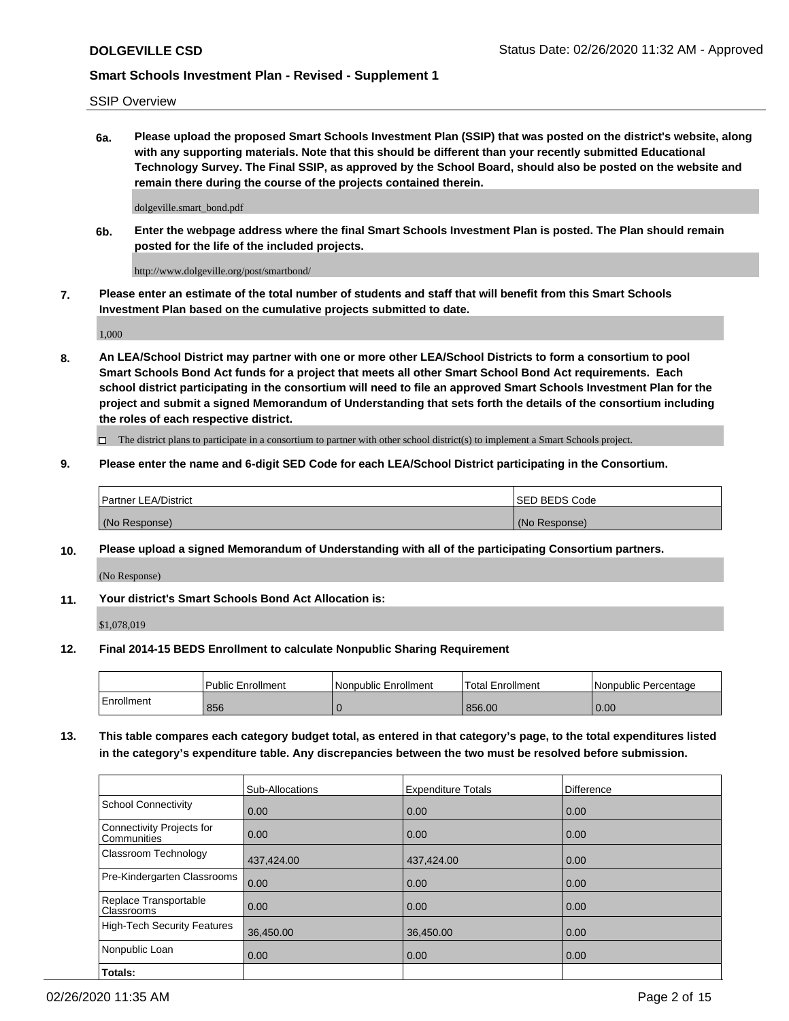SSIP Overview

**6a. Please upload the proposed Smart Schools Investment Plan (SSIP) that was posted on the district's website, along with any supporting materials. Note that this should be different than your recently submitted Educational Technology Survey. The Final SSIP, as approved by the School Board, should also be posted on the website and remain there during the course of the projects contained therein.**

dolgeville.smart\_bond.pdf

**6b. Enter the webpage address where the final Smart Schools Investment Plan is posted. The Plan should remain posted for the life of the included projects.**

http://www.dolgeville.org/post/smartbond/

**7. Please enter an estimate of the total number of students and staff that will benefit from this Smart Schools Investment Plan based on the cumulative projects submitted to date.**

1,000

**8. An LEA/School District may partner with one or more other LEA/School Districts to form a consortium to pool Smart Schools Bond Act funds for a project that meets all other Smart School Bond Act requirements. Each school district participating in the consortium will need to file an approved Smart Schools Investment Plan for the project and submit a signed Memorandum of Understanding that sets forth the details of the consortium including the roles of each respective district.**

 $\Box$  The district plans to participate in a consortium to partner with other school district(s) to implement a Smart Schools project.

## **9. Please enter the name and 6-digit SED Code for each LEA/School District participating in the Consortium.**

| Partner LEA/District | <b>ISED BEDS Code</b> |
|----------------------|-----------------------|
| (No Response)        | (No Response)         |

### **10. Please upload a signed Memorandum of Understanding with all of the participating Consortium partners.**

(No Response)

**11. Your district's Smart Schools Bond Act Allocation is:**

\$1,078,019

### **12. Final 2014-15 BEDS Enrollment to calculate Nonpublic Sharing Requirement**

|            | <b>Public Enrollment</b> | Nonpublic Enrollment | <b>Total Enrollment</b> | l Nonpublic Percentage |
|------------|--------------------------|----------------------|-------------------------|------------------------|
| Enrollment | 856                      |                      | 856.00                  | 0.00                   |

**13. This table compares each category budget total, as entered in that category's page, to the total expenditures listed in the category's expenditure table. Any discrepancies between the two must be resolved before submission.**

|                                          | Sub-Allocations | <b>Expenditure Totals</b> | Difference |
|------------------------------------------|-----------------|---------------------------|------------|
| <b>School Connectivity</b>               | 0.00            | 0.00                      | 0.00       |
| Connectivity Projects for<br>Communities | 0.00            | 0.00                      | 0.00       |
| Classroom Technology                     | 437,424.00      | 437,424.00                | 0.00       |
| Pre-Kindergarten Classrooms              | 0.00            | 0.00                      | 0.00       |
| Replace Transportable<br>Classrooms      | 0.00            | 0.00                      | 0.00       |
| <b>High-Tech Security Features</b>       | 36,450.00       | 36,450.00                 | 0.00       |
| Nonpublic Loan                           | 0.00            | 0.00                      | 0.00       |
| Totals:                                  |                 |                           |            |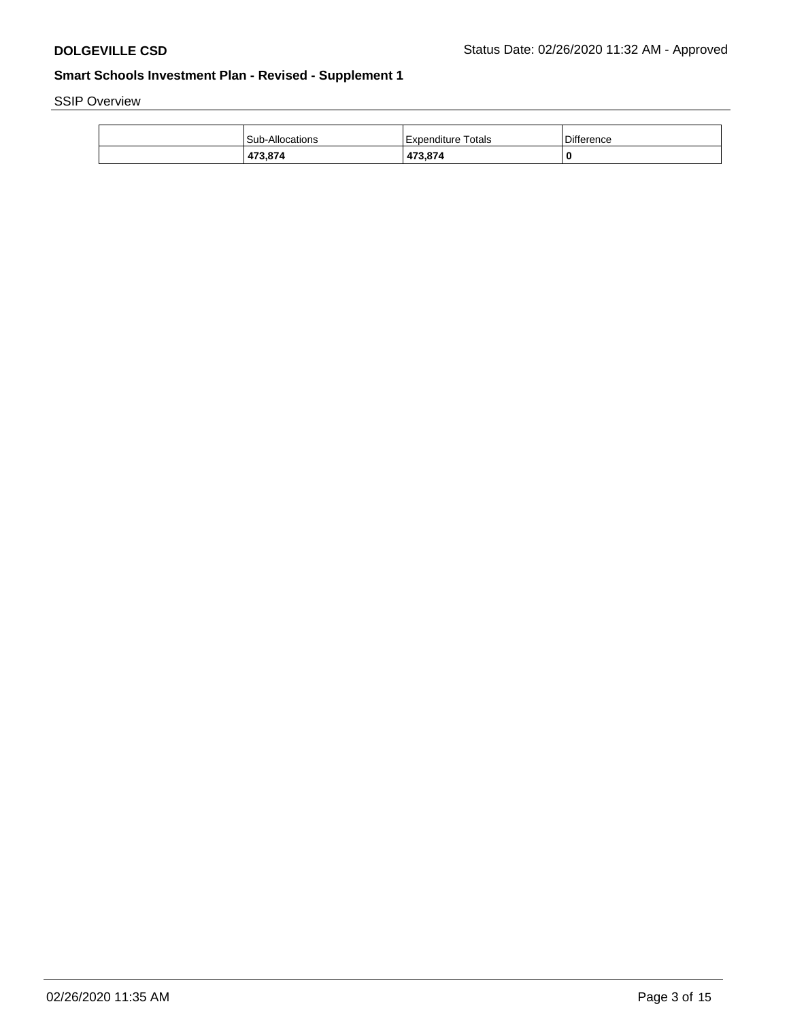SSIP Overview

| 473,874                | 473.874            | 0          |
|------------------------|--------------------|------------|
| <b>Sub-Allocations</b> | Expenditure Totals | Difference |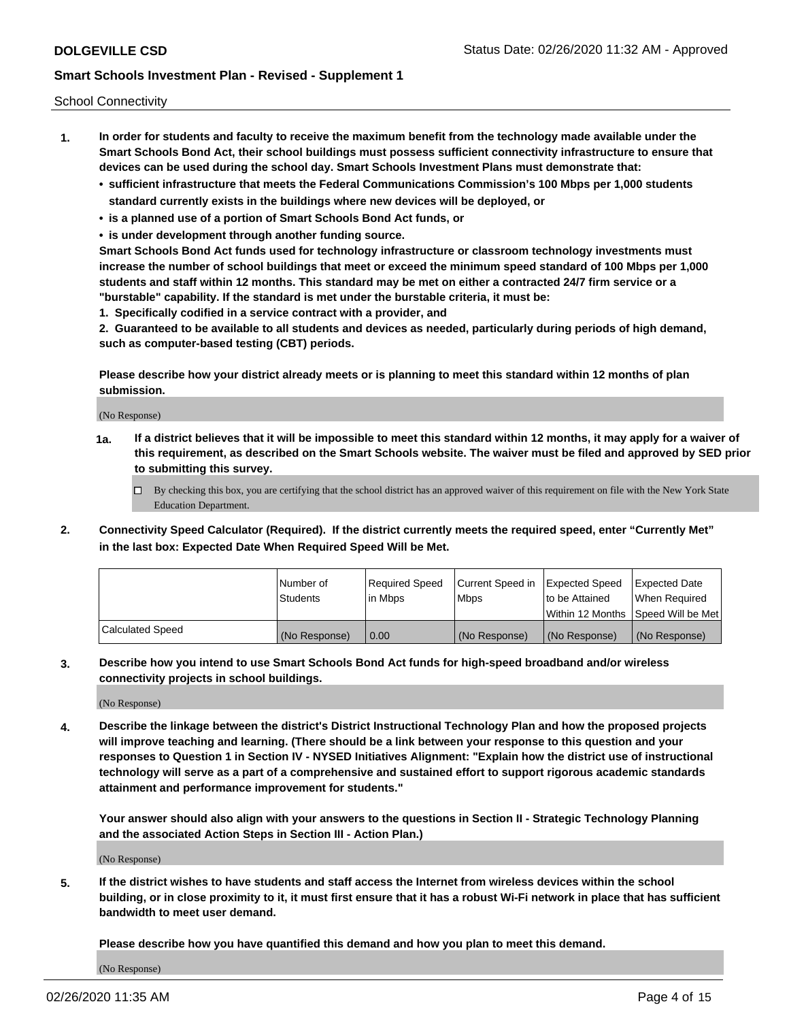School Connectivity

- **1. In order for students and faculty to receive the maximum benefit from the technology made available under the Smart Schools Bond Act, their school buildings must possess sufficient connectivity infrastructure to ensure that devices can be used during the school day. Smart Schools Investment Plans must demonstrate that:**
	- **• sufficient infrastructure that meets the Federal Communications Commission's 100 Mbps per 1,000 students standard currently exists in the buildings where new devices will be deployed, or**
	- **• is a planned use of a portion of Smart Schools Bond Act funds, or**
	- **• is under development through another funding source.**

**Smart Schools Bond Act funds used for technology infrastructure or classroom technology investments must increase the number of school buildings that meet or exceed the minimum speed standard of 100 Mbps per 1,000 students and staff within 12 months. This standard may be met on either a contracted 24/7 firm service or a "burstable" capability. If the standard is met under the burstable criteria, it must be:**

**1. Specifically codified in a service contract with a provider, and**

**2. Guaranteed to be available to all students and devices as needed, particularly during periods of high demand, such as computer-based testing (CBT) periods.**

**Please describe how your district already meets or is planning to meet this standard within 12 months of plan submission.**

(No Response)

**1a. If a district believes that it will be impossible to meet this standard within 12 months, it may apply for a waiver of this requirement, as described on the Smart Schools website. The waiver must be filed and approved by SED prior to submitting this survey.**

 $\Box$  By checking this box, you are certifying that the school district has an approved waiver of this requirement on file with the New York State Education Department.

**2. Connectivity Speed Calculator (Required). If the district currently meets the required speed, enter "Currently Met" in the last box: Expected Date When Required Speed Will be Met.**

|                  | l Number of     | Required Speed | Current Speed in | Expected Speed  | Expected Date                           |
|------------------|-----------------|----------------|------------------|-----------------|-----------------------------------------|
|                  | <b>Students</b> | In Mbps        | l Mbps           | to be Attained  | When Required                           |
|                  |                 |                |                  |                 | l Within 12 Months ISpeed Will be Met l |
| Calculated Speed | (No Response)   | 0.00           | (No Response)    | l (No Response) | l (No Response)                         |

**3. Describe how you intend to use Smart Schools Bond Act funds for high-speed broadband and/or wireless connectivity projects in school buildings.**

(No Response)

**4. Describe the linkage between the district's District Instructional Technology Plan and how the proposed projects will improve teaching and learning. (There should be a link between your response to this question and your responses to Question 1 in Section IV - NYSED Initiatives Alignment: "Explain how the district use of instructional technology will serve as a part of a comprehensive and sustained effort to support rigorous academic standards attainment and performance improvement for students."** 

**Your answer should also align with your answers to the questions in Section II - Strategic Technology Planning and the associated Action Steps in Section III - Action Plan.)**

(No Response)

**5. If the district wishes to have students and staff access the Internet from wireless devices within the school building, or in close proximity to it, it must first ensure that it has a robust Wi-Fi network in place that has sufficient bandwidth to meet user demand.**

**Please describe how you have quantified this demand and how you plan to meet this demand.**

(No Response)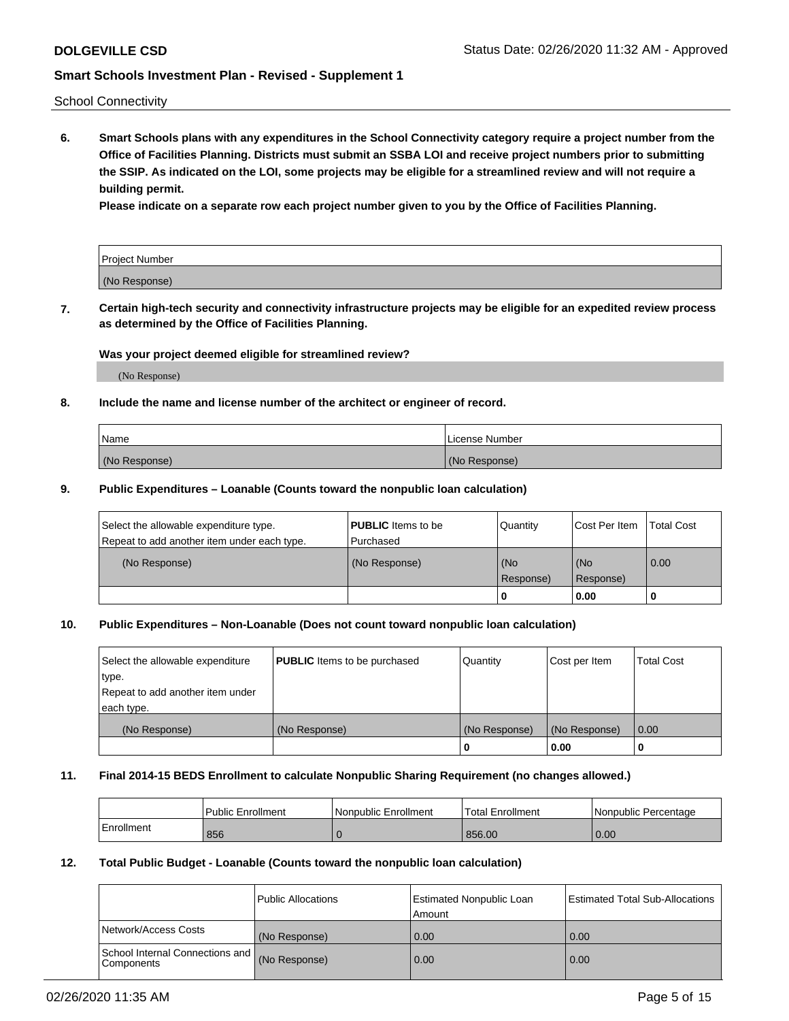School Connectivity

**6. Smart Schools plans with any expenditures in the School Connectivity category require a project number from the Office of Facilities Planning. Districts must submit an SSBA LOI and receive project numbers prior to submitting the SSIP. As indicated on the LOI, some projects may be eligible for a streamlined review and will not require a building permit.**

**Please indicate on a separate row each project number given to you by the Office of Facilities Planning.**

| Project Number |  |
|----------------|--|
| (No Response)  |  |

**7. Certain high-tech security and connectivity infrastructure projects may be eligible for an expedited review process as determined by the Office of Facilities Planning.**

### **Was your project deemed eligible for streamlined review?**

(No Response)

### **8. Include the name and license number of the architect or engineer of record.**

| Name          | License Number |
|---------------|----------------|
| (No Response) | (No Response)  |

### **9. Public Expenditures – Loanable (Counts toward the nonpublic loan calculation)**

| Select the allowable expenditure type.<br>Repeat to add another item under each type. | <b>PUBLIC</b> Items to be<br>l Purchased | Quantity           | Cost Per Item    | <b>Total Cost</b> |
|---------------------------------------------------------------------------------------|------------------------------------------|--------------------|------------------|-------------------|
| (No Response)                                                                         | (No Response)                            | l (No<br>Response) | (No<br>Response) | $\overline{0.00}$ |
|                                                                                       |                                          | O                  | 0.00             |                   |

## **10. Public Expenditures – Non-Loanable (Does not count toward nonpublic loan calculation)**

| Select the allowable expenditure | <b>PUBLIC</b> Items to be purchased | Quantity      | Cost per Item | <b>Total Cost</b> |
|----------------------------------|-------------------------------------|---------------|---------------|-------------------|
| type.                            |                                     |               |               |                   |
| Repeat to add another item under |                                     |               |               |                   |
| each type.                       |                                     |               |               |                   |
| (No Response)                    | (No Response)                       | (No Response) | (No Response) | 0.00              |
|                                  |                                     |               | 0.00          |                   |

#### **11. Final 2014-15 BEDS Enrollment to calculate Nonpublic Sharing Requirement (no changes allowed.)**

|            | Public Enrollment | l Nonpublic Enrollment | <b>Total Enrollment</b> | Nonpublic Percentage |
|------------|-------------------|------------------------|-------------------------|----------------------|
| Enrollment | 856               |                        | 856.00                  | 0.00                 |

### **12. Total Public Budget - Loanable (Counts toward the nonpublic loan calculation)**

|                                                      | Public Allocations | <b>Estimated Nonpublic Loan</b><br>Amount | Estimated Total Sub-Allocations |
|------------------------------------------------------|--------------------|-------------------------------------------|---------------------------------|
| Network/Access Costs                                 | (No Response)      | 0.00                                      | 0.00                            |
| School Internal Connections and<br><b>Components</b> | (No Response)      | 0.00                                      | 0.00                            |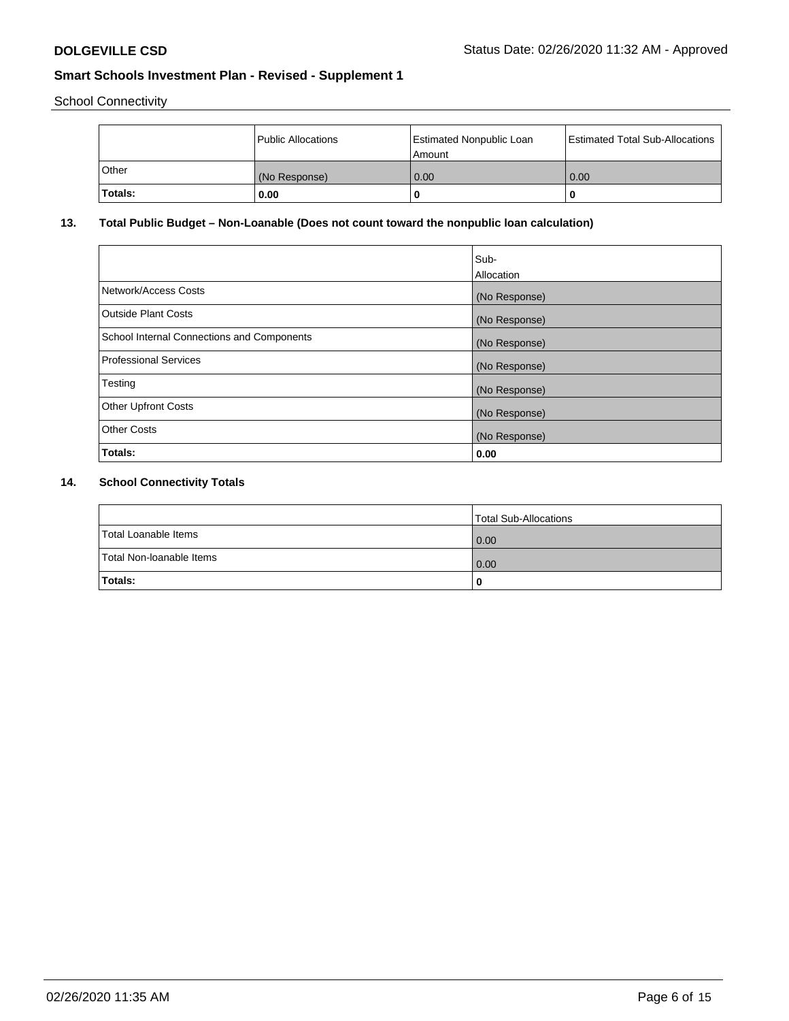School Connectivity

|         | Public Allocations | Estimated Nonpublic Loan<br>l Amount | <b>Estimated Total Sub-Allocations</b> |
|---------|--------------------|--------------------------------------|----------------------------------------|
| l Other | (No Response)      | 0.00                                 | 0.00                                   |
| Totals: | 0.00               | 0                                    | 0                                      |

## **13. Total Public Budget – Non-Loanable (Does not count toward the nonpublic loan calculation)**

|                                                   | Sub-<br>Allocation |
|---------------------------------------------------|--------------------|
| Network/Access Costs                              | (No Response)      |
| <b>Outside Plant Costs</b>                        | (No Response)      |
| <b>School Internal Connections and Components</b> | (No Response)      |
| <b>Professional Services</b>                      | (No Response)      |
| Testing                                           | (No Response)      |
| <b>Other Upfront Costs</b>                        | (No Response)      |
| <b>Other Costs</b>                                | (No Response)      |
| Totals:                                           | 0.00               |

## **14. School Connectivity Totals**

|                          | Total Sub-Allocations |
|--------------------------|-----------------------|
| Total Loanable Items     | 0.00                  |
| Total Non-Ioanable Items | 0.00                  |
| Totals:                  | 0                     |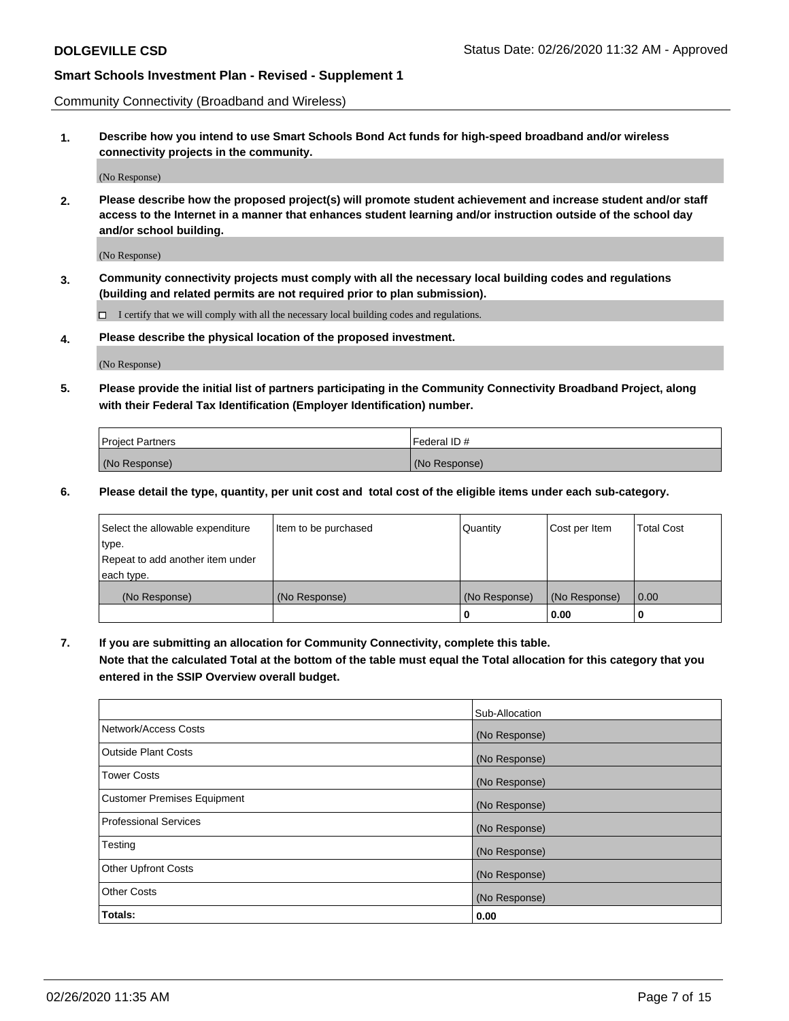Community Connectivity (Broadband and Wireless)

**1. Describe how you intend to use Smart Schools Bond Act funds for high-speed broadband and/or wireless connectivity projects in the community.**

(No Response)

**2. Please describe how the proposed project(s) will promote student achievement and increase student and/or staff access to the Internet in a manner that enhances student learning and/or instruction outside of the school day and/or school building.**

(No Response)

**3. Community connectivity projects must comply with all the necessary local building codes and regulations (building and related permits are not required prior to plan submission).**

 $\Box$  I certify that we will comply with all the necessary local building codes and regulations.

**4. Please describe the physical location of the proposed investment.**

(No Response)

**5. Please provide the initial list of partners participating in the Community Connectivity Broadband Project, along with their Federal Tax Identification (Employer Identification) number.**

| <b>Project Partners</b> | l Federal ID # |
|-------------------------|----------------|
| (No Response)           | (No Response)  |

**6. Please detail the type, quantity, per unit cost and total cost of the eligible items under each sub-category.**

| Select the allowable expenditure | Item to be purchased | Quantity      | Cost per Item | <b>Total Cost</b> |
|----------------------------------|----------------------|---------------|---------------|-------------------|
| type.                            |                      |               |               |                   |
| Repeat to add another item under |                      |               |               |                   |
| each type.                       |                      |               |               |                   |
| (No Response)                    | (No Response)        | (No Response) | (No Response) | 0.00              |
|                                  |                      | o             | 0.00          |                   |

**7. If you are submitting an allocation for Community Connectivity, complete this table.**

**Note that the calculated Total at the bottom of the table must equal the Total allocation for this category that you entered in the SSIP Overview overall budget.**

|                                    | Sub-Allocation |
|------------------------------------|----------------|
| Network/Access Costs               | (No Response)  |
| Outside Plant Costs                | (No Response)  |
| <b>Tower Costs</b>                 | (No Response)  |
| <b>Customer Premises Equipment</b> | (No Response)  |
| <b>Professional Services</b>       | (No Response)  |
| Testing                            | (No Response)  |
| <b>Other Upfront Costs</b>         | (No Response)  |
| <b>Other Costs</b>                 | (No Response)  |
| Totals:                            | 0.00           |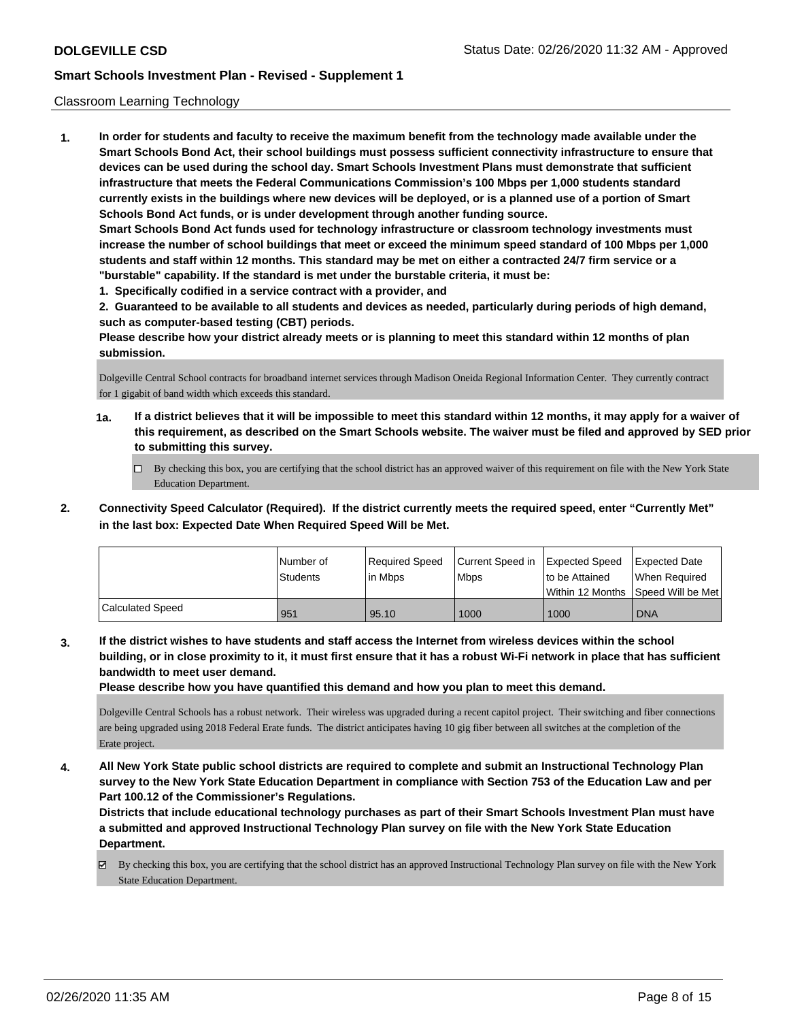### Classroom Learning Technology

**1. In order for students and faculty to receive the maximum benefit from the technology made available under the Smart Schools Bond Act, their school buildings must possess sufficient connectivity infrastructure to ensure that devices can be used during the school day. Smart Schools Investment Plans must demonstrate that sufficient infrastructure that meets the Federal Communications Commission's 100 Mbps per 1,000 students standard currently exists in the buildings where new devices will be deployed, or is a planned use of a portion of Smart Schools Bond Act funds, or is under development through another funding source. Smart Schools Bond Act funds used for technology infrastructure or classroom technology investments must increase the number of school buildings that meet or exceed the minimum speed standard of 100 Mbps per 1,000 students and staff within 12 months. This standard may be met on either a contracted 24/7 firm service or a "burstable" capability. If the standard is met under the burstable criteria, it must be:**

**1. Specifically codified in a service contract with a provider, and**

**2. Guaranteed to be available to all students and devices as needed, particularly during periods of high demand, such as computer-based testing (CBT) periods.**

**Please describe how your district already meets or is planning to meet this standard within 12 months of plan submission.**

Dolgeville Central School contracts for broadband internet services through Madison Oneida Regional Information Center. They currently contract for 1 gigabit of band width which exceeds this standard.

- **1a. If a district believes that it will be impossible to meet this standard within 12 months, it may apply for a waiver of this requirement, as described on the Smart Schools website. The waiver must be filed and approved by SED prior to submitting this survey.**
	- By checking this box, you are certifying that the school district has an approved waiver of this requirement on file with the New York State Education Department.
- **2. Connectivity Speed Calculator (Required). If the district currently meets the required speed, enter "Currently Met" in the last box: Expected Date When Required Speed Will be Met.**

|                  | l Number of<br>Students | Required Speed<br>l in Mbps | Current Speed in Expected Speed<br>l Mbps | to be Attained | <b>Expected Date</b><br>When Required<br>Within 12 Months 1Speed Will be Met1 |
|------------------|-------------------------|-----------------------------|-------------------------------------------|----------------|-------------------------------------------------------------------------------|
| Calculated Speed | 951                     | 95.10                       | 1000                                      | 1000           | <b>DNA</b>                                                                    |

**3. If the district wishes to have students and staff access the Internet from wireless devices within the school building, or in close proximity to it, it must first ensure that it has a robust Wi-Fi network in place that has sufficient bandwidth to meet user demand.**

**Please describe how you have quantified this demand and how you plan to meet this demand.**

Dolgeville Central Schools has a robust network. Their wireless was upgraded during a recent capitol project. Their switching and fiber connections are being upgraded using 2018 Federal Erate funds. The district anticipates having 10 gig fiber between all switches at the completion of the Erate project.

**4. All New York State public school districts are required to complete and submit an Instructional Technology Plan survey to the New York State Education Department in compliance with Section 753 of the Education Law and per Part 100.12 of the Commissioner's Regulations.**

**Districts that include educational technology purchases as part of their Smart Schools Investment Plan must have a submitted and approved Instructional Technology Plan survey on file with the New York State Education Department.**

 $\boxtimes$  By checking this box, you are certifying that the school district has an approved Instructional Technology Plan survey on file with the New York State Education Department.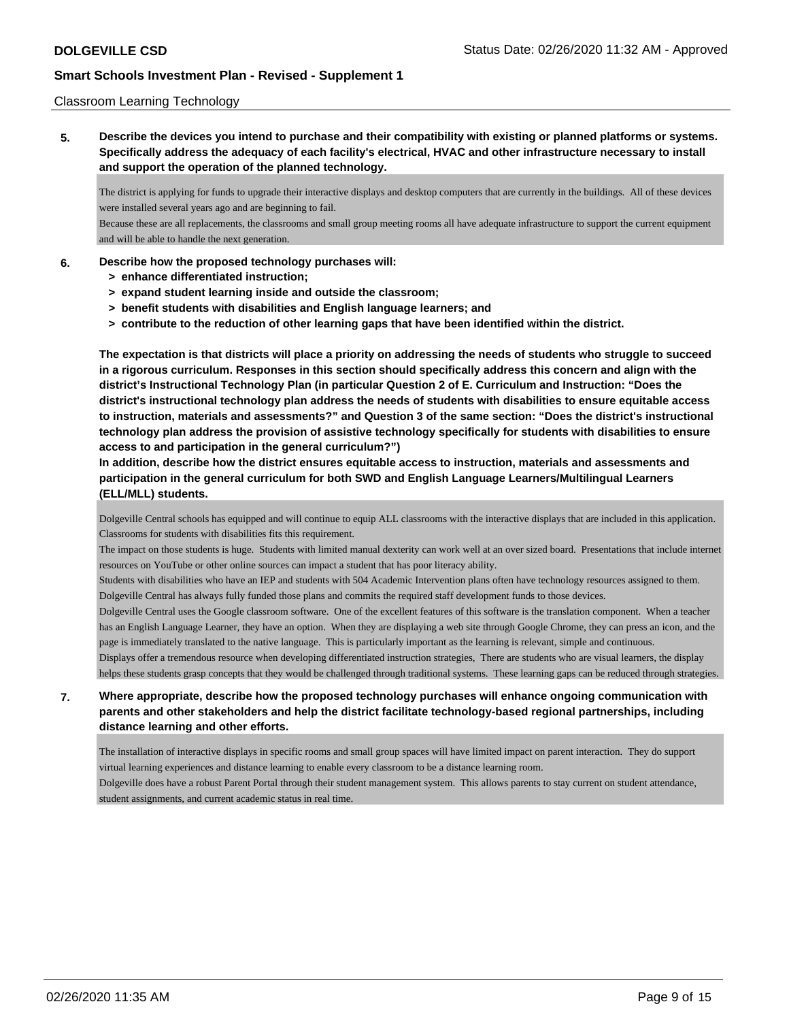### Classroom Learning Technology

**5. Describe the devices you intend to purchase and their compatibility with existing or planned platforms or systems. Specifically address the adequacy of each facility's electrical, HVAC and other infrastructure necessary to install and support the operation of the planned technology.**

The district is applying for funds to upgrade their interactive displays and desktop computers that are currently in the buildings. All of these devices were installed several years ago and are beginning to fail.

Because these are all replacements, the classrooms and small group meeting rooms all have adequate infrastructure to support the current equipment and will be able to handle the next generation.

### **6. Describe how the proposed technology purchases will:**

- **> enhance differentiated instruction;**
- **> expand student learning inside and outside the classroom;**
- **> benefit students with disabilities and English language learners; and**
- **> contribute to the reduction of other learning gaps that have been identified within the district.**

**The expectation is that districts will place a priority on addressing the needs of students who struggle to succeed in a rigorous curriculum. Responses in this section should specifically address this concern and align with the district's Instructional Technology Plan (in particular Question 2 of E. Curriculum and Instruction: "Does the district's instructional technology plan address the needs of students with disabilities to ensure equitable access to instruction, materials and assessments?" and Question 3 of the same section: "Does the district's instructional technology plan address the provision of assistive technology specifically for students with disabilities to ensure access to and participation in the general curriculum?")**

**In addition, describe how the district ensures equitable access to instruction, materials and assessments and participation in the general curriculum for both SWD and English Language Learners/Multilingual Learners (ELL/MLL) students.**

Dolgeville Central schools has equipped and will continue to equip ALL classrooms with the interactive displays that are included in this application. Classrooms for students with disabilities fits this requirement.

The impact on those students is huge. Students with limited manual dexterity can work well at an over sized board. Presentations that include internet resources on YouTube or other online sources can impact a student that has poor literacy ability.

Students with disabilities who have an IEP and students with 504 Academic Intervention plans often have technology resources assigned to them. Dolgeville Central has always fully funded those plans and commits the required staff development funds to those devices.

Dolgeville Central uses the Google classroom software. One of the excellent features of this software is the translation component. When a teacher has an English Language Learner, they have an option. When they are displaying a web site through Google Chrome, they can press an icon, and the page is immediately translated to the native language. This is particularly important as the learning is relevant, simple and continuous.

Displays offer a tremendous resource when developing differentiated instruction strategies, There are students who are visual learners, the display helps these students grasp concepts that they would be challenged through traditional systems. These learning gaps can be reduced through strategies.

## **7. Where appropriate, describe how the proposed technology purchases will enhance ongoing communication with parents and other stakeholders and help the district facilitate technology-based regional partnerships, including distance learning and other efforts.**

The installation of interactive displays in specific rooms and small group spaces will have limited impact on parent interaction. They do support virtual learning experiences and distance learning to enable every classroom to be a distance learning room.

Dolgeville does have a robust Parent Portal through their student management system. This allows parents to stay current on student attendance, student assignments, and current academic status in real time.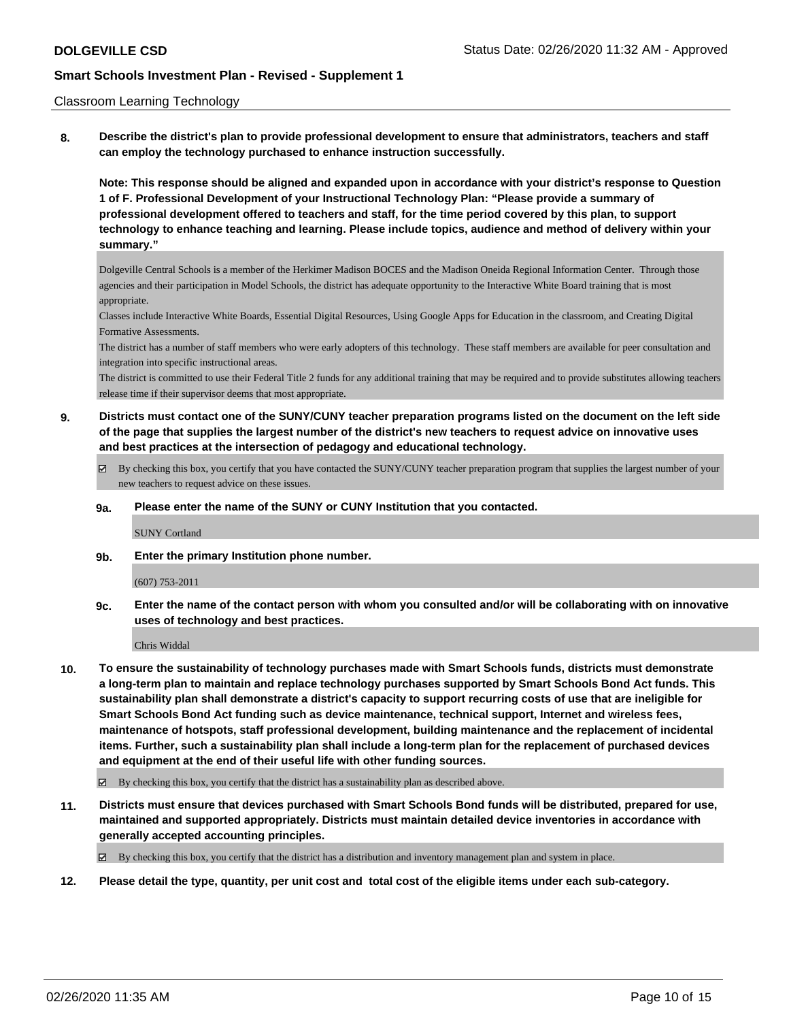#### Classroom Learning Technology

**8. Describe the district's plan to provide professional development to ensure that administrators, teachers and staff can employ the technology purchased to enhance instruction successfully.**

**Note: This response should be aligned and expanded upon in accordance with your district's response to Question 1 of F. Professional Development of your Instructional Technology Plan: "Please provide a summary of professional development offered to teachers and staff, for the time period covered by this plan, to support technology to enhance teaching and learning. Please include topics, audience and method of delivery within your summary."**

Dolgeville Central Schools is a member of the Herkimer Madison BOCES and the Madison Oneida Regional Information Center. Through those agencies and their participation in Model Schools, the district has adequate opportunity to the Interactive White Board training that is most appropriate.

Classes include Interactive White Boards, Essential Digital Resources, Using Google Apps for Education in the classroom, and Creating Digital Formative Assessments.

The district has a number of staff members who were early adopters of this technology. These staff members are available for peer consultation and integration into specific instructional areas.

The district is committed to use their Federal Title 2 funds for any additional training that may be required and to provide substitutes allowing teachers release time if their supervisor deems that most appropriate.

- **9. Districts must contact one of the SUNY/CUNY teacher preparation programs listed on the document on the left side of the page that supplies the largest number of the district's new teachers to request advice on innovative uses and best practices at the intersection of pedagogy and educational technology.**
	- By checking this box, you certify that you have contacted the SUNY/CUNY teacher preparation program that supplies the largest number of your new teachers to request advice on these issues.

#### **9a. Please enter the name of the SUNY or CUNY Institution that you contacted.**

SUNY Cortland

**9b. Enter the primary Institution phone number.**

#### (607) 753-2011

**9c. Enter the name of the contact person with whom you consulted and/or will be collaborating with on innovative uses of technology and best practices.**

Chris Widdal

- **10. To ensure the sustainability of technology purchases made with Smart Schools funds, districts must demonstrate a long-term plan to maintain and replace technology purchases supported by Smart Schools Bond Act funds. This sustainability plan shall demonstrate a district's capacity to support recurring costs of use that are ineligible for Smart Schools Bond Act funding such as device maintenance, technical support, Internet and wireless fees, maintenance of hotspots, staff professional development, building maintenance and the replacement of incidental items. Further, such a sustainability plan shall include a long-term plan for the replacement of purchased devices and equipment at the end of their useful life with other funding sources.**
	- $\boxtimes$  By checking this box, you certify that the district has a sustainability plan as described above.
- **11. Districts must ensure that devices purchased with Smart Schools Bond funds will be distributed, prepared for use, maintained and supported appropriately. Districts must maintain detailed device inventories in accordance with generally accepted accounting principles.**

By checking this box, you certify that the district has a distribution and inventory management plan and system in place.

**12. Please detail the type, quantity, per unit cost and total cost of the eligible items under each sub-category.**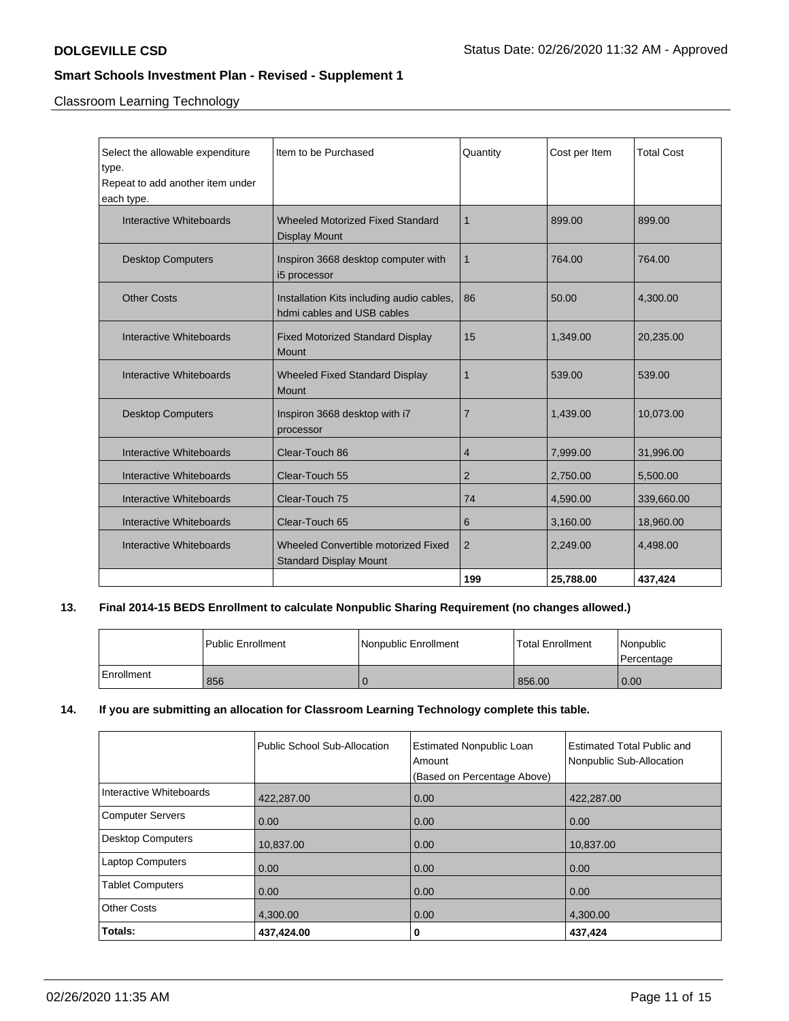Classroom Learning Technology

| Select the allowable expenditure<br>type.<br>Repeat to add another item under<br>each type. | Item to be Purchased                                                    | Quantity       | Cost per Item | <b>Total Cost</b> |
|---------------------------------------------------------------------------------------------|-------------------------------------------------------------------------|----------------|---------------|-------------------|
| Interactive Whiteboards                                                                     | <b>Wheeled Motorized Fixed Standard</b><br><b>Display Mount</b>         | 1              | 899.00        | 899.00            |
| <b>Desktop Computers</b>                                                                    | Inspiron 3668 desktop computer with<br>i5 processor                     | 1              | 764.00        | 764.00            |
| <b>Other Costs</b>                                                                          | Installation Kits including audio cables,<br>hdmi cables and USB cables | 86             | 50.00         | 4.300.00          |
| Interactive Whiteboards                                                                     | <b>Fixed Motorized Standard Display</b><br><b>Mount</b>                 | 15             | 1,349.00      | 20,235.00         |
| Interactive Whiteboards                                                                     | <b>Wheeled Fixed Standard Display</b><br>Mount                          | 1              | 539.00        | 539.00            |
| <b>Desktop Computers</b>                                                                    | Inspiron 3668 desktop with i7<br>processor                              | $\overline{7}$ | 1,439.00      | 10,073.00         |
| Interactive Whiteboards                                                                     | Clear-Touch 86                                                          | 4              | 7,999.00      | 31,996.00         |
| Interactive Whiteboards                                                                     | Clear-Touch 55                                                          | $\overline{2}$ | 2,750.00      | 5,500.00          |
| Interactive Whiteboards                                                                     | Clear-Touch 75                                                          | 74             | 4,590.00      | 339,660.00        |
| Interactive Whiteboards                                                                     | Clear-Touch 65                                                          | 6              | 3,160.00      | 18,960.00         |
| Interactive Whiteboards                                                                     | Wheeled Convertible motorized Fixed<br><b>Standard Display Mount</b>    | $\overline{2}$ | 2,249.00      | 4,498.00          |
|                                                                                             |                                                                         | 199            | 25,788.00     | 437,424           |

## **13. Final 2014-15 BEDS Enrollment to calculate Nonpublic Sharing Requirement (no changes allowed.)**

|            | l Public Enrollment | Nonpublic Enrollment | Total Enrollment | Nonpublic<br>l Percentage |
|------------|---------------------|----------------------|------------------|---------------------------|
| Enrollment | 856                 |                      | 856.00           | 0.00                      |

## **14. If you are submitting an allocation for Classroom Learning Technology complete this table.**

|                         | Public School Sub-Allocation | <b>Estimated Nonpublic Loan</b><br>Amount | <b>Estimated Total Public and</b><br>Nonpublic Sub-Allocation |
|-------------------------|------------------------------|-------------------------------------------|---------------------------------------------------------------|
|                         |                              | (Based on Percentage Above)               |                                                               |
| Interactive Whiteboards | 422.287.00                   | 0.00                                      | 422.287.00                                                    |
| Computer Servers        | 0.00                         | 0.00                                      | 0.00                                                          |
| Desktop Computers       | 10,837.00                    | 0.00                                      | 10,837.00                                                     |
| <b>Laptop Computers</b> | 0.00                         | 0.00                                      | 0.00                                                          |
| <b>Tablet Computers</b> | 0.00                         | 0.00                                      | 0.00                                                          |
| <b>Other Costs</b>      | 4.300.00                     | 0.00                                      | 4.300.00                                                      |
| Totals:                 | 437,424.00                   | 0                                         | 437,424                                                       |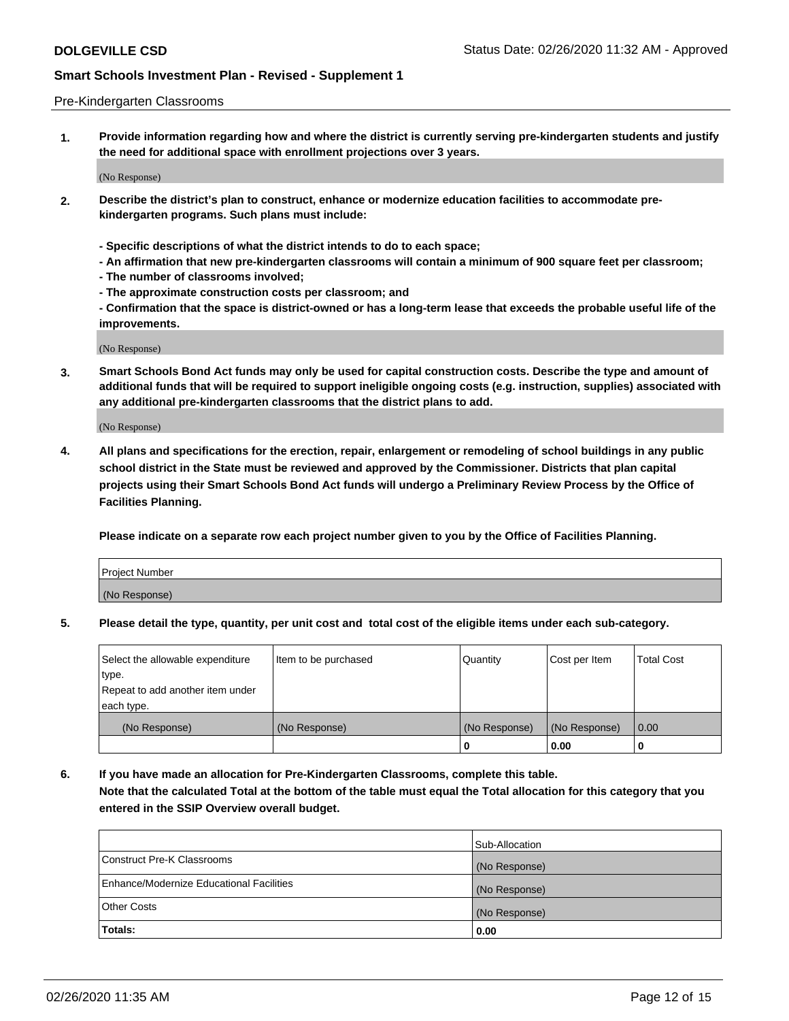#### Pre-Kindergarten Classrooms

**1. Provide information regarding how and where the district is currently serving pre-kindergarten students and justify the need for additional space with enrollment projections over 3 years.**

(No Response)

- **2. Describe the district's plan to construct, enhance or modernize education facilities to accommodate prekindergarten programs. Such plans must include:**
	- **Specific descriptions of what the district intends to do to each space;**
	- **An affirmation that new pre-kindergarten classrooms will contain a minimum of 900 square feet per classroom;**
	- **The number of classrooms involved;**
	- **The approximate construction costs per classroom; and**
	- **Confirmation that the space is district-owned or has a long-term lease that exceeds the probable useful life of the improvements.**

(No Response)

**3. Smart Schools Bond Act funds may only be used for capital construction costs. Describe the type and amount of additional funds that will be required to support ineligible ongoing costs (e.g. instruction, supplies) associated with any additional pre-kindergarten classrooms that the district plans to add.**

(No Response)

**4. All plans and specifications for the erection, repair, enlargement or remodeling of school buildings in any public school district in the State must be reviewed and approved by the Commissioner. Districts that plan capital projects using their Smart Schools Bond Act funds will undergo a Preliminary Review Process by the Office of Facilities Planning.**

**Please indicate on a separate row each project number given to you by the Office of Facilities Planning.**

| Project Number |  |
|----------------|--|
| (No Response)  |  |
|                |  |

**5. Please detail the type, quantity, per unit cost and total cost of the eligible items under each sub-category.**

| Select the allowable expenditure | Item to be purchased | Quantity      | Cost per Item | <b>Total Cost</b> |
|----------------------------------|----------------------|---------------|---------------|-------------------|
| type.                            |                      |               |               |                   |
| Repeat to add another item under |                      |               |               |                   |
| each type.                       |                      |               |               |                   |
| (No Response)                    | (No Response)        | (No Response) | (No Response) | 0.00              |
|                                  |                      | U             | 0.00          |                   |

**6. If you have made an allocation for Pre-Kindergarten Classrooms, complete this table. Note that the calculated Total at the bottom of the table must equal the Total allocation for this category that you entered in the SSIP Overview overall budget.**

|                                          | Sub-Allocation |
|------------------------------------------|----------------|
| Construct Pre-K Classrooms               | (No Response)  |
| Enhance/Modernize Educational Facilities | (No Response)  |
| <b>Other Costs</b>                       | (No Response)  |
| Totals:                                  | 0.00           |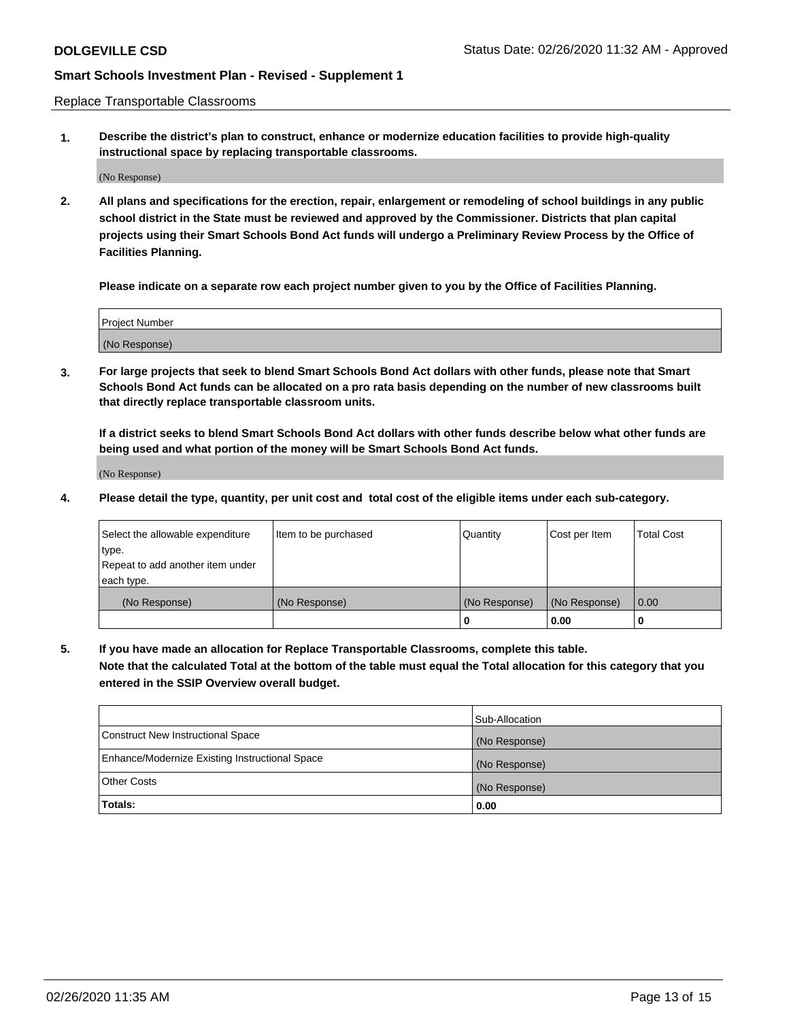Replace Transportable Classrooms

**1. Describe the district's plan to construct, enhance or modernize education facilities to provide high-quality instructional space by replacing transportable classrooms.**

(No Response)

**2. All plans and specifications for the erection, repair, enlargement or remodeling of school buildings in any public school district in the State must be reviewed and approved by the Commissioner. Districts that plan capital projects using their Smart Schools Bond Act funds will undergo a Preliminary Review Process by the Office of Facilities Planning.**

**Please indicate on a separate row each project number given to you by the Office of Facilities Planning.**

| Project Number |  |
|----------------|--|
|                |  |
|                |  |
|                |  |
|                |  |
| (No Response)  |  |
|                |  |
|                |  |
|                |  |

**3. For large projects that seek to blend Smart Schools Bond Act dollars with other funds, please note that Smart Schools Bond Act funds can be allocated on a pro rata basis depending on the number of new classrooms built that directly replace transportable classroom units.**

**If a district seeks to blend Smart Schools Bond Act dollars with other funds describe below what other funds are being used and what portion of the money will be Smart Schools Bond Act funds.**

(No Response)

**4. Please detail the type, quantity, per unit cost and total cost of the eligible items under each sub-category.**

| Select the allowable expenditure | Item to be purchased | Quantity      | Cost per Item | Total Cost |
|----------------------------------|----------------------|---------------|---------------|------------|
| ∣type.                           |                      |               |               |            |
| Repeat to add another item under |                      |               |               |            |
| each type.                       |                      |               |               |            |
| (No Response)                    | (No Response)        | (No Response) | (No Response) | 0.00       |
|                                  |                      | u             | 0.00          |            |

**5. If you have made an allocation for Replace Transportable Classrooms, complete this table. Note that the calculated Total at the bottom of the table must equal the Total allocation for this category that you entered in the SSIP Overview overall budget.**

|                                                | Sub-Allocation |
|------------------------------------------------|----------------|
| Construct New Instructional Space              | (No Response)  |
| Enhance/Modernize Existing Instructional Space | (No Response)  |
| Other Costs                                    | (No Response)  |
| Totals:                                        | 0.00           |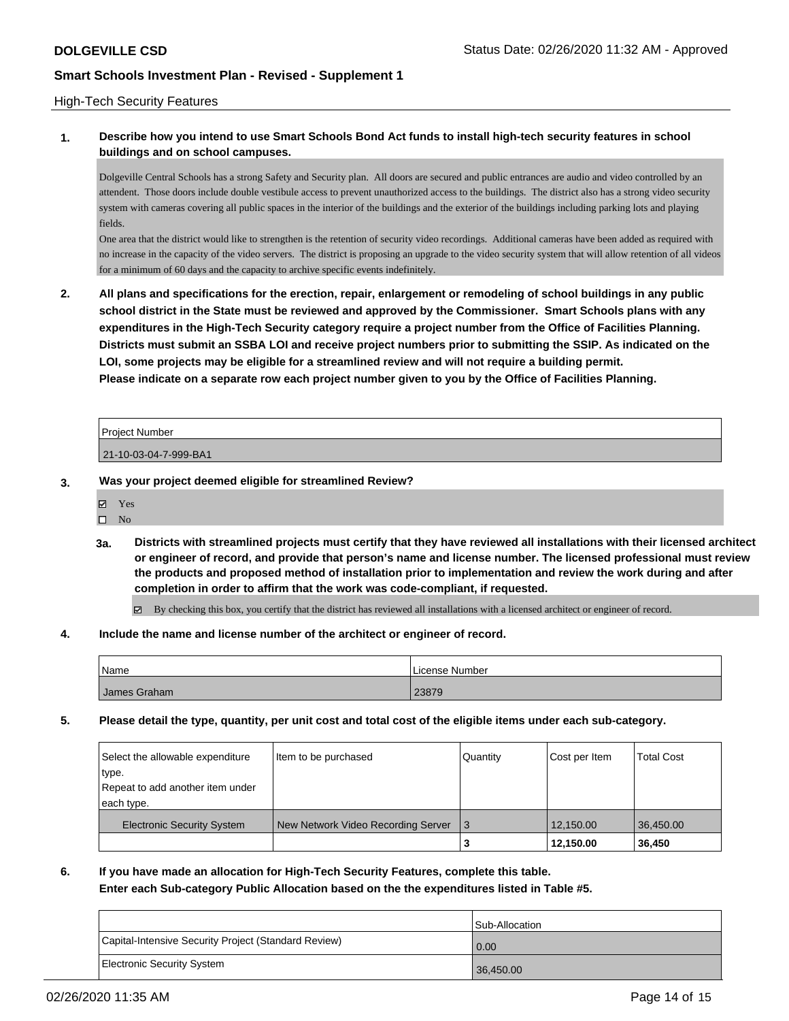### High-Tech Security Features

## **1. Describe how you intend to use Smart Schools Bond Act funds to install high-tech security features in school buildings and on school campuses.**

Dolgeville Central Schools has a strong Safety and Security plan. All doors are secured and public entrances are audio and video controlled by an attendent. Those doors include double vestibule access to prevent unauthorized access to the buildings. The district also has a strong video security system with cameras covering all public spaces in the interior of the buildings and the exterior of the buildings including parking lots and playing fields.

One area that the district would like to strengthen is the retention of security video recordings. Additional cameras have been added as required with no increase in the capacity of the video servers. The district is proposing an upgrade to the video security system that will allow retention of all videos for a minimum of 60 days and the capacity to archive specific events indefinitely.

**2. All plans and specifications for the erection, repair, enlargement or remodeling of school buildings in any public school district in the State must be reviewed and approved by the Commissioner. Smart Schools plans with any expenditures in the High-Tech Security category require a project number from the Office of Facilities Planning. Districts must submit an SSBA LOI and receive project numbers prior to submitting the SSIP. As indicated on the LOI, some projects may be eligible for a streamlined review and will not require a building permit. Please indicate on a separate row each project number given to you by the Office of Facilities Planning.**

| Proiect Number        |  |
|-----------------------|--|
| 21-10-03-04-7-999-BA1 |  |

### **3. Was your project deemed eligible for streamlined Review?**

Yes

 $\square$  No

**3a. Districts with streamlined projects must certify that they have reviewed all installations with their licensed architect or engineer of record, and provide that person's name and license number. The licensed professional must review the products and proposed method of installation prior to implementation and review the work during and after completion in order to affirm that the work was code-compliant, if requested.**

By checking this box, you certify that the district has reviewed all installations with a licensed architect or engineer of record.

#### **4. Include the name and license number of the architect or engineer of record.**

| Name           | License Number |
|----------------|----------------|
| I James Graham | 23879          |

**5. Please detail the type, quantity, per unit cost and total cost of the eligible items under each sub-category.**

| Select the allowable expenditure<br>type.<br>Repeat to add another item under | Item to be purchased               | Quantity | Cost per Item | <b>Total Cost</b> |
|-------------------------------------------------------------------------------|------------------------------------|----------|---------------|-------------------|
| each type.                                                                    |                                    |          |               |                   |
| <b>Electronic Security System</b>                                             | New Network Video Recording Server | 3        | 12.150.00     | 36.450.00         |
|                                                                               |                                    | з        | 12,150.00     | 36,450            |

## **6. If you have made an allocation for High-Tech Security Features, complete this table.**

**Enter each Sub-category Public Allocation based on the the expenditures listed in Table #5.**

|                                                      | Sub-Allocation |
|------------------------------------------------------|----------------|
| Capital-Intensive Security Project (Standard Review) | 0.00           |
| <b>Electronic Security System</b>                    | 36,450.00      |